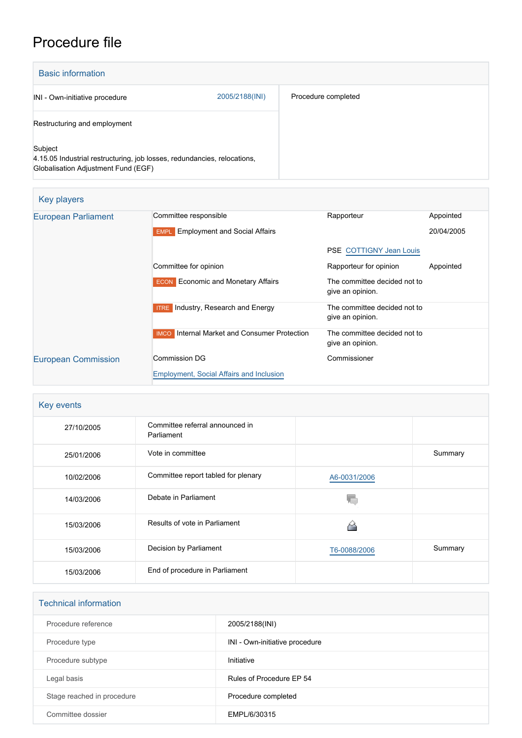# Procedure file

| <b>Basic information</b>                                                                                                   |                |                     |
|----------------------------------------------------------------------------------------------------------------------------|----------------|---------------------|
| INI - Own-initiative procedure                                                                                             | 2005/2188(INI) | Procedure completed |
| Restructuring and employment                                                                                               |                |                     |
| Subject<br>4.15.05 Industrial restructuring, job losses, redundancies, relocations,<br>Globalisation Adjustment Fund (EGF) |                |                     |

| Key players                |                                                        |                                                  |            |
|----------------------------|--------------------------------------------------------|--------------------------------------------------|------------|
| <b>European Parliament</b> | Committee responsible                                  | Rapporteur                                       | Appointed  |
|                            | <b>Employment and Social Affairs</b><br><b>EMPL</b>    |                                                  | 20/04/2005 |
|                            |                                                        | <b>PSE COTTIGNY Jean Louis</b>                   |            |
|                            | Committee for opinion                                  | Rapporteur for opinion                           | Appointed  |
|                            | <b>ECON</b> Economic and Monetary Affairs              | The committee decided not to<br>give an opinion. |            |
|                            | <b>ITRE</b> Industry, Research and Energy              | The committee decided not to<br>give an opinion. |            |
|                            | Internal Market and Consumer Protection<br><b>IMCO</b> | The committee decided not to<br>give an opinion. |            |
| <b>European Commission</b> | Commission DG                                          | Commissioner                                     |            |
|                            | <b>Employment, Social Affairs and Inclusion</b>        |                                                  |            |

## **Key events**

| $\epsilon$ |                                               |              |         |
|------------|-----------------------------------------------|--------------|---------|
| 27/10/2005 | Committee referral announced in<br>Parliament |              |         |
| 25/01/2006 | Vote in committee                             |              | Summary |
| 10/02/2006 | Committee report tabled for plenary           | A6-0031/2006 |         |
| 14/03/2006 | Debate in Parliament                          |              |         |
| 15/03/2006 | Results of vote in Parliament                 | ∼            |         |
| 15/03/2006 | Decision by Parliament                        | T6-0088/2006 | Summary |
| 15/03/2006 | End of procedure in Parliament                |              |         |

| <b>Technical information</b> |                                |  |  |
|------------------------------|--------------------------------|--|--|
| Procedure reference          | 2005/2188(INI)                 |  |  |
| Procedure type               | INI - Own-initiative procedure |  |  |
| Procedure subtype            | Initiative                     |  |  |
| Legal basis                  | Rules of Procedure FP 54       |  |  |
| Stage reached in procedure   | Procedure completed            |  |  |
| Committee dossier            | EMPL/6/30315                   |  |  |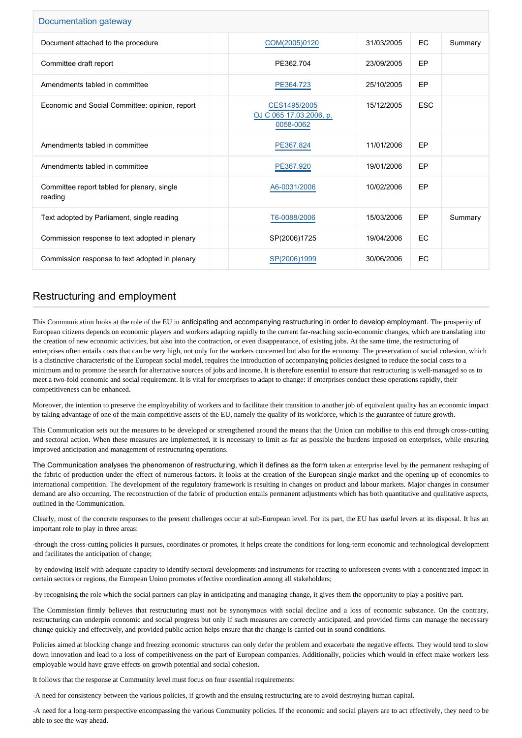| Documentation gateway                                  |                                                      |            |            |         |  |
|--------------------------------------------------------|------------------------------------------------------|------------|------------|---------|--|
| Document attached to the procedure                     | COM(2005)0120                                        | 31/03/2005 | EC         | Summary |  |
| Committee draft report                                 | PE362.704                                            | 23/09/2005 | EP         |         |  |
| Amendments tabled in committee                         | PE364.723                                            | 25/10/2005 | EP         |         |  |
| Economic and Social Committee: opinion, report         | CES1495/2005<br>OJ C 065 17.03.2006, p.<br>0058-0062 | 15/12/2005 | <b>ESC</b> |         |  |
| Amendments tabled in committee                         | PE367.824                                            | 11/01/2006 | EP         |         |  |
| Amendments tabled in committee                         | PE367.920                                            | 19/01/2006 | EP         |         |  |
| Committee report tabled for plenary, single<br>reading | A6-0031/2006                                         | 10/02/2006 | <b>FP</b>  |         |  |
| Text adopted by Parliament, single reading             | T6-0088/2006                                         | 15/03/2006 | EP         | Summary |  |
| Commission response to text adopted in plenary         | SP(2006)1725                                         | 19/04/2006 | EC         |         |  |
| Commission response to text adopted in plenary         | SP(2006)1999                                         | 30/06/2006 | EC         |         |  |

## Restructuring and employment

This Communication looks at the role of the EU in anticipating and accompanying restructuring in order to develop employment. The prosperity of European citizens depends on economic players and workers adapting rapidly to the current far-reaching socio-economic changes, which are translating into the creation of new economic activities, but also into the contraction, or even disappearance, of existing jobs. At the same time, the restructuring of enterprises often entails costs that can be very high, not only for the workers concerned but also for the economy. The preservation of social cohesion, which is a distinctive characteristic of the European social model, requires the introduction of accompanying policies designed to reduce the social costs to a minimum and to promote the search for alternative sources of jobs and income. It is therefore essential to ensure that restructuring is well-managed so as to meet a two-fold economic and social requirement. It is vital for enterprises to adapt to change: if enterprises conduct these operations rapidly, their competitiveness can be enhanced.

Moreover, the intention to preserve the employability of workers and to facilitate their transition to another job of equivalent quality has an economic impact by taking advantage of one of the main competitive assets of the EU, namely the quality of its workforce, which is the guarantee of future growth.

This Communication sets out the measures to be developed or strengthened around the means that the Union can mobilise to this end through cross-cutting and sectoral action. When these measures are implemented, it is necessary to limit as far as possible the burdens imposed on enterprises, while ensuring improved anticipation and management of restructuring operations.

The Communication analyses the phenomenon of restructuring, which it defines as the form taken at enterprise level by the permanent reshaping of the fabric of production under the effect of numerous factors. It looks at the creation of the European single market and the opening up of economies to international competition. The development of the regulatory framework is resulting in changes on product and labour markets. Major changes in consumer demand are also occurring. The reconstruction of the fabric of production entails permanent adjustments which has both quantitative and qualitative aspects, outlined in the Communication.

Clearly, most of the concrete responses to the present challenges occur at sub-European level. For its part, the EU has useful levers at its disposal. It has an important role to play in three areas:

-through the cross-cutting policies it pursues, coordinates or promotes, it helps create the conditions for long-term economic and technological development and facilitates the anticipation of change;

-by endowing itself with adequate capacity to identify sectoral developments and instruments for reacting to unforeseen events with a concentrated impact in certain sectors or regions, the European Union promotes effective coordination among all stakeholders;

-by recognising the role which the social partners can play in anticipating and managing change, it gives them the opportunity to play a positive part.

The Commission firmly believes that restructuring must not be synonymous with social decline and a loss of economic substance. On the contrary, restructuring can underpin economic and social progress but only if such measures are correctly anticipated, and provided firms can manage the necessary change quickly and effectively, and provided public action helps ensure that the change is carried out in sound conditions.

Policies aimed at blocking change and freezing economic structures can only defer the problem and exacerbate the negative effects. They would tend to slow down innovation and lead to a loss of competitiveness on the part of European companies. Additionally, policies which would in effect make workers less employable would have grave effects on growth potential and social cohesion.

It follows that the response at Community level must focus on four essential requirements:

-A need for consistency between the various policies, if growth and the ensuing restructuring are to avoid destroying human capital.

-A need for a long-term perspective encompassing the various Community policies. If the economic and social players are to act effectively, they need to be able to see the way ahead.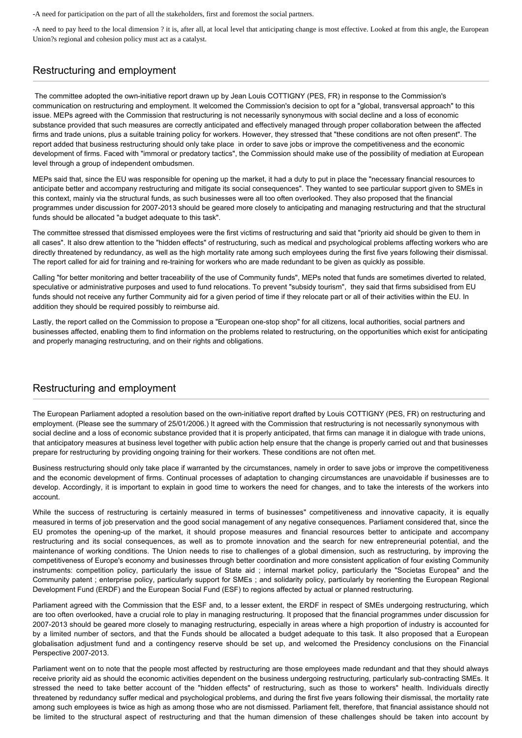-A need for participation on the part of all the stakeholders, first and foremost the social partners.

-A need to pay heed to the local dimension ? it is, after all, at local level that anticipating change is most effective. Looked at from this angle, the European Union?s regional and cohesion policy must act as a catalyst.

### Restructuring and employment

 The committee adopted the own-initiative report drawn up by Jean Louis COTTIGNY (PES, FR) in response to the Commission's communication on restructuring and employment. It welcomed the Commission's decision to opt for a "global, transversal approach" to this issue. MEPs agreed with the Commission that restructuring is not necessarily synonymous with social decline and a loss of economic substance provided that such measures are correctly anticipated and effectively managed through proper collaboration between the affected firms and trade unions, plus a suitable training policy for workers. However, they stressed that "these conditions are not often present". The report added that business restructuring should only take place in order to save jobs or improve the competitiveness and the economic development of firms. Faced with "immoral or predatory tactics", the Commission should make use of the possibility of mediation at European level through a group of independent ombudsmen.

MEPs said that, since the EU was responsible for opening up the market, it had a duty to put in place the "necessary financial resources to anticipate better and accompany restructuring and mitigate its social consequences". They wanted to see particular support given to SMEs in this context, mainly via the structural funds, as such businesses were all too often overlooked. They also proposed that the financial programmes under discussion for 2007-2013 should be geared more closely to anticipating and managing restructuring and that the structural funds should be allocated "a budget adequate to this task".

The committee stressed that dismissed employees were the first victims of restructuring and said that "priority aid should be given to them in all cases". It also drew attention to the "hidden effects" of restructuring, such as medical and psychological problems affecting workers who are directly threatened by redundancy, as well as the high mortality rate among such employees during the first five years following their dismissal. The report called for aid for training and re-training for workers who are made redundant to be given as quickly as possible.

Calling "for better monitoring and better traceability of the use of Community funds", MEPs noted that funds are sometimes diverted to related, speculative or administrative purposes and used to fund relocations. To prevent "subsidy tourism", they said that firms subsidised from EU funds should not receive any further Community aid for a given period of time if they relocate part or all of their activities within the EU. In addition they should be required possibly to reimburse aid.

Lastly, the report called on the Commission to propose a "European one-stop shop" for all citizens, local authorities, social partners and businesses affected, enabling them to find information on the problems related to restructuring, on the opportunities which exist for anticipating and properly managing restructuring, and on their rights and obligations.

### Restructuring and employment

The European Parliament adopted a resolution based on the own-initiative report drafted by Louis COTTIGNY (PES, FR) on restructuring and employment. (Please see the summary of 25/01/2006.) It agreed with the Commission that restructuring is not necessarily synonymous with social decline and a loss of economic substance provided that it is properly anticipated, that firms can manage it in dialogue with trade unions, that anticipatory measures at business level together with public action help ensure that the change is properly carried out and that businesses prepare for restructuring by providing ongoing training for their workers. These conditions are not often met.

Business restructuring should only take place if warranted by the circumstances, namely in order to save jobs or improve the competitiveness and the economic development of firms. Continual processes of adaptation to changing circumstances are unavoidable if businesses are to develop. Accordingly, it is important to explain in good time to workers the need for changes, and to take the interests of the workers into account.

While the success of restructuring is certainly measured in terms of businesses" competitiveness and innovative capacity, it is equally measured in terms of job preservation and the good social management of any negative consequences. Parliament considered that, since the EU promotes the opening-up of the market, it should propose measures and financial resources better to anticipate and accompany restructuring and its social consequences, as well as to promote innovation and the search for new entrepreneurial potential, and the maintenance of working conditions. The Union needs to rise to challenges of a global dimension, such as restructuring, by improving the competitiveness of Europe's economy and businesses through better coordination and more consistent application of four existing Community instruments: competition policy, particularly the issue of State aid ; internal market policy, particularly the "Societas Europea" and the Community patent ; enterprise policy, particularly support for SMEs ; and solidarity policy, particularly by reorienting the European Regional Development Fund (ERDF) and the European Social Fund (ESF) to regions affected by actual or planned restructuring.

Parliament agreed with the Commission that the ESF and, to a lesser extent, the ERDF in respect of SMEs undergoing restructuring, which are too often overlooked, have a crucial role to play in managing restructuring. It proposed that the financial programmes under discussion for 2007-2013 should be geared more closely to managing restructuring, especially in areas where a high proportion of industry is accounted for by a limited number of sectors, and that the Funds should be allocated a budget adequate to this task. It also proposed that a European globalisation adjustment fund and a contingency reserve should be set up, and welcomed the Presidency conclusions on the Financial Perspective 2007-2013.

Parliament went on to note that the people most affected by restructuring are those employees made redundant and that they should always receive priority aid as should the economic activities dependent on the business undergoing restructuring, particularly sub-contracting SMEs. It stressed the need to take better account of the "hidden effects" of restructuring, such as those to workers" health. Individuals directly threatened by redundancy suffer medical and psychological problems, and during the first five years following their dismissal, the mortality rate among such employees is twice as high as among those who are not dismissed. Parliament felt, therefore, that financial assistance should not be limited to the structural aspect of restructuring and that the human dimension of these challenges should be taken into account by